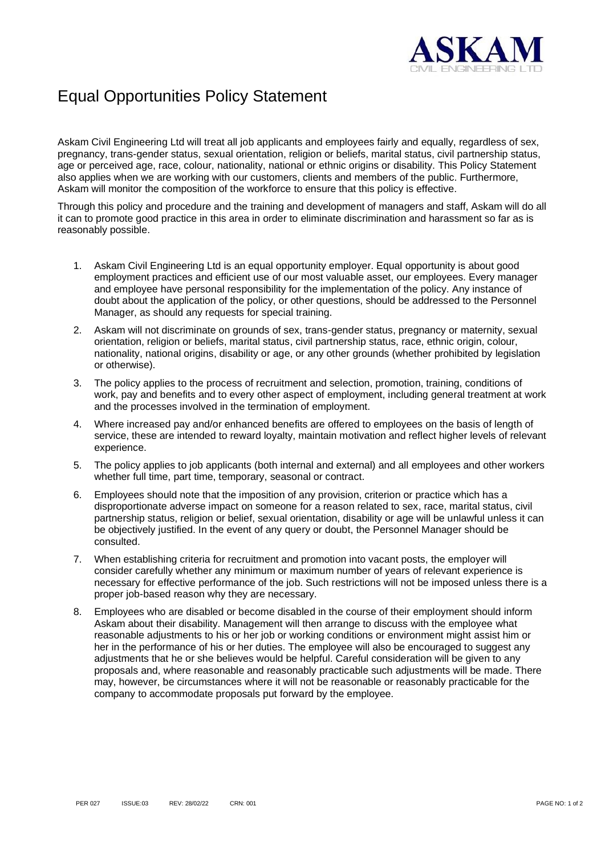

## Equal Opportunities Policy Statement

Askam Civil Engineering Ltd will treat all job applicants and employees fairly and equally, regardless of sex, pregnancy, trans-gender status, sexual orientation, religion or beliefs, marital status, civil partnership status, age or perceived age, race, colour, nationality, national or ethnic origins or disability. This Policy Statement also applies when we are working with our customers, clients and members of the public. Furthermore, Askam will monitor the composition of the workforce to ensure that this policy is effective.

Through this policy and procedure and the training and development of managers and staff, Askam will do all it can to promote good practice in this area in order to eliminate discrimination and harassment so far as is reasonably possible.

- 1. Askam Civil Engineering Ltd is an equal opportunity employer. Equal opportunity is about good employment practices and efficient use of our most valuable asset, our employees. Every manager and employee have personal responsibility for the implementation of the policy. Any instance of doubt about the application of the policy, or other questions, should be addressed to the Personnel Manager, as should any requests for special training.
- 2. Askam will not discriminate on grounds of sex, trans-gender status, pregnancy or maternity, sexual orientation, religion or beliefs, marital status, civil partnership status, race, ethnic origin, colour, nationality, national origins, disability or age, or any other grounds (whether prohibited by legislation or otherwise).
- 3. The policy applies to the process of recruitment and selection, promotion, training, conditions of work, pay and benefits and to every other aspect of employment, including general treatment at work and the processes involved in the termination of employment.
- 4. Where increased pay and/or enhanced benefits are offered to employees on the basis of length of service, these are intended to reward loyalty, maintain motivation and reflect higher levels of relevant experience.
- 5. The policy applies to job applicants (both internal and external) and all employees and other workers whether full time, part time, temporary, seasonal or contract.
- 6. Employees should note that the imposition of any provision, criterion or practice which has a disproportionate adverse impact on someone for a reason related to sex, race, marital status, civil partnership status, religion or belief, sexual orientation, disability or age will be unlawful unless it can be objectively justified. In the event of any query or doubt, the Personnel Manager should be consulted.
- 7. When establishing criteria for recruitment and promotion into vacant posts, the employer will consider carefully whether any minimum or maximum number of years of relevant experience is necessary for effective performance of the job. Such restrictions will not be imposed unless there is a proper job-based reason why they are necessary.
- 8. Employees who are disabled or become disabled in the course of their employment should inform Askam about their disability. Management will then arrange to discuss with the employee what reasonable adjustments to his or her job or working conditions or environment might assist him or her in the performance of his or her duties. The employee will also be encouraged to suggest any adjustments that he or she believes would be helpful. Careful consideration will be given to any proposals and, where reasonable and reasonably practicable such adjustments will be made. There may, however, be circumstances where it will not be reasonable or reasonably practicable for the company to accommodate proposals put forward by the employee.